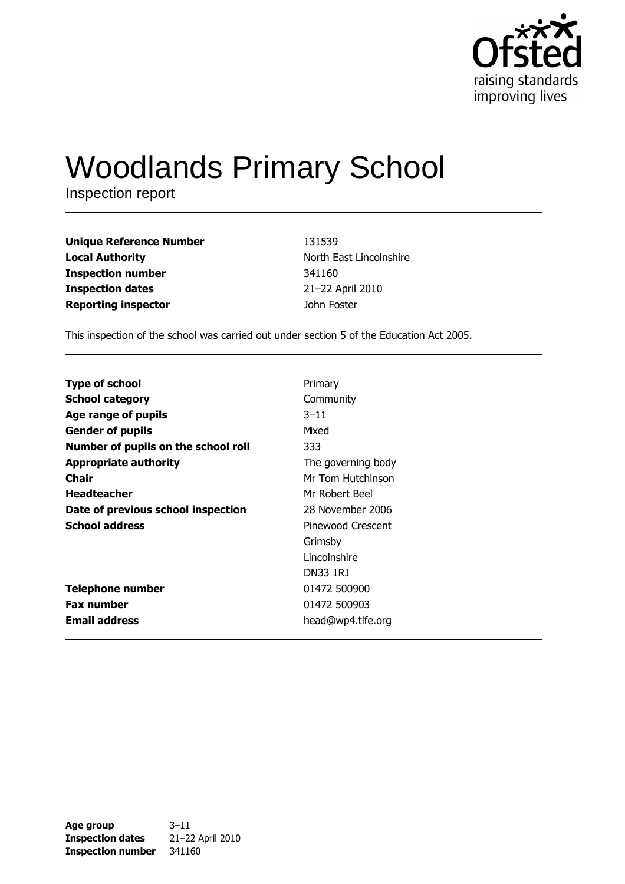

# **Woodlands Primary School**

Inspection report

| Unique Reference Number | 131539                  |
|-------------------------|-------------------------|
| Local Authority         | North East Lincolnshire |
| Inspection number       | 341160                  |
| <b>Inspection dates</b> | 21-22 April 2010        |
| Reporting inspector     | John Foster             |
|                         |                         |

This inspection of the school was carried out under section 5 of the Education Act 2005.

| <b>Type of school</b>               | Primary            |
|-------------------------------------|--------------------|
| <b>School category</b>              | Community          |
| Age range of pupils                 | $3 - 11$           |
| <b>Gender of pupils</b>             | Mixed              |
| Number of pupils on the school roll | 333                |
| <b>Appropriate authority</b>        | The governing body |
| <b>Chair</b>                        | Mr Tom Hutchinson  |
| <b>Headteacher</b>                  | Mr Robert Beel     |
| Date of previous school inspection  | 28 November 2006   |
| <b>School address</b>               | Pinewood Crescent  |
|                                     | Grimsby            |
|                                     | Lincolnshire       |
|                                     | <b>DN33 1RJ</b>    |
| <b>Telephone number</b>             | 01472 500900       |
| <b>Fax number</b>                   | 01472 500903       |
| <b>Email address</b>                | head@wp4.tlfe.org  |

| Age group                | $3 - 11$         |
|--------------------------|------------------|
| <b>Inspection dates</b>  | 21-22 April 2010 |
| <b>Inspection number</b> | 341160           |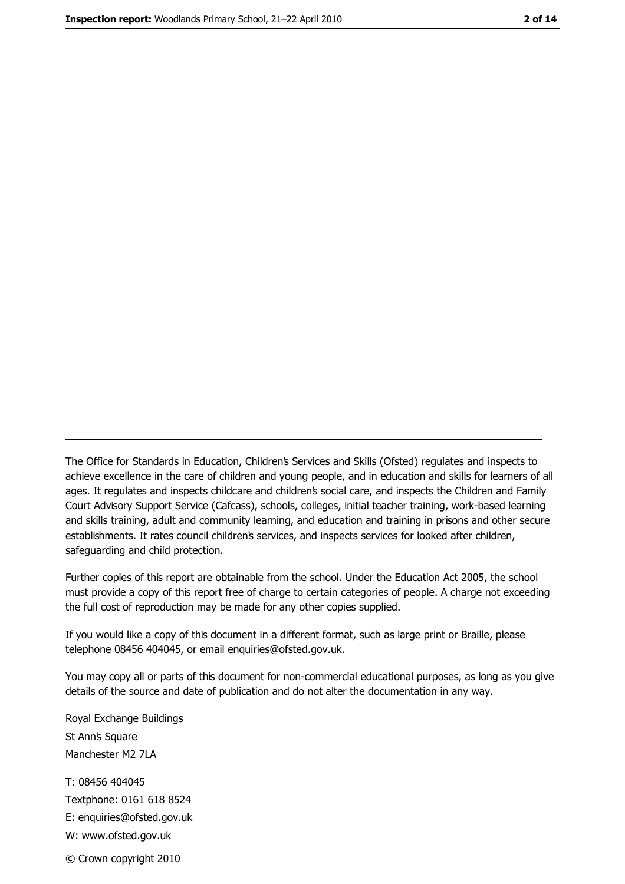The Office for Standards in Education, Children's Services and Skills (Ofsted) regulates and inspects to achieve excellence in the care of children and young people, and in education and skills for learners of all ages. It regulates and inspects childcare and children's social care, and inspects the Children and Family Court Advisory Support Service (Cafcass), schools, colleges, initial teacher training, work-based learning and skills training, adult and community learning, and education and training in prisons and other secure establishments. It rates council children's services, and inspects services for looked after children, safequarding and child protection.

Further copies of this report are obtainable from the school. Under the Education Act 2005, the school must provide a copy of this report free of charge to certain categories of people. A charge not exceeding the full cost of reproduction may be made for any other copies supplied.

If you would like a copy of this document in a different format, such as large print or Braille, please telephone 08456 404045, or email enquiries@ofsted.gov.uk.

You may copy all or parts of this document for non-commercial educational purposes, as long as you give details of the source and date of publication and do not alter the documentation in any way.

Royal Exchange Buildings St Ann's Square Manchester M2 7LA T: 08456 404045 Textphone: 0161 618 8524 E: enquiries@ofsted.gov.uk W: www.ofsted.gov.uk © Crown copyright 2010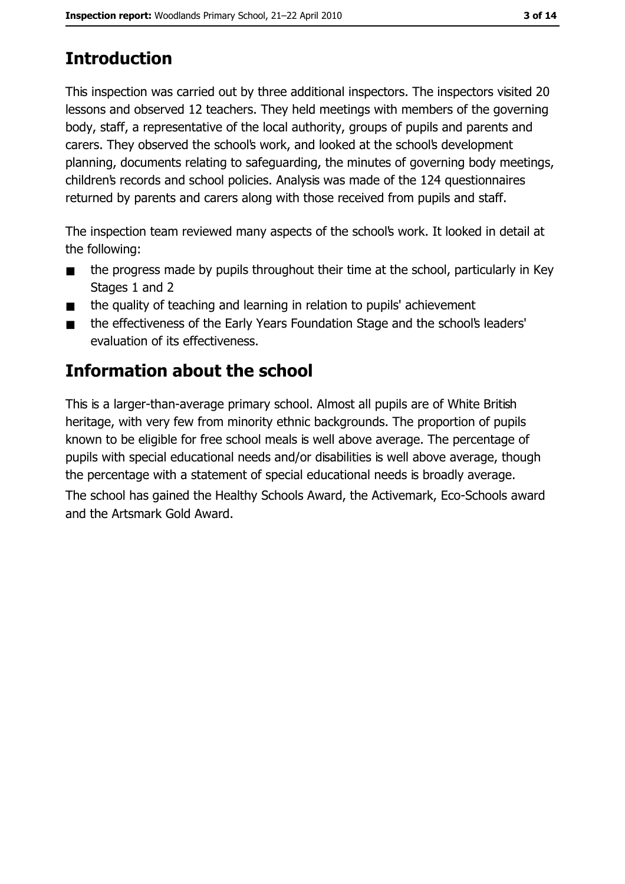# **Introduction**

This inspection was carried out by three additional inspectors. The inspectors visited 20 lessons and observed 12 teachers. They held meetings with members of the governing body, staff, a representative of the local authority, groups of pupils and parents and carers. They observed the school's work, and looked at the school's development planning, documents relating to safeguarding, the minutes of governing body meetings, children's records and school policies. Analysis was made of the 124 questionnaires returned by parents and carers along with those received from pupils and staff.

The inspection team reviewed many aspects of the school's work. It looked in detail at the following:

- the progress made by pupils throughout their time at the school, particularly in Key  $\blacksquare$ Stages 1 and 2
- the quality of teaching and learning in relation to pupils' achievement  $\blacksquare$
- the effectiveness of the Early Years Foundation Stage and the school's leaders'  $\blacksquare$ evaluation of its effectiveness.

# Information about the school

This is a larger-than-average primary school. Almost all pupils are of White British heritage, with very few from minority ethnic backgrounds. The proportion of pupils known to be eligible for free school meals is well above average. The percentage of pupils with special educational needs and/or disabilities is well above average, though the percentage with a statement of special educational needs is broadly average.

The school has gained the Healthy Schools Award, the Activemark, Eco-Schools award and the Artsmark Gold Award.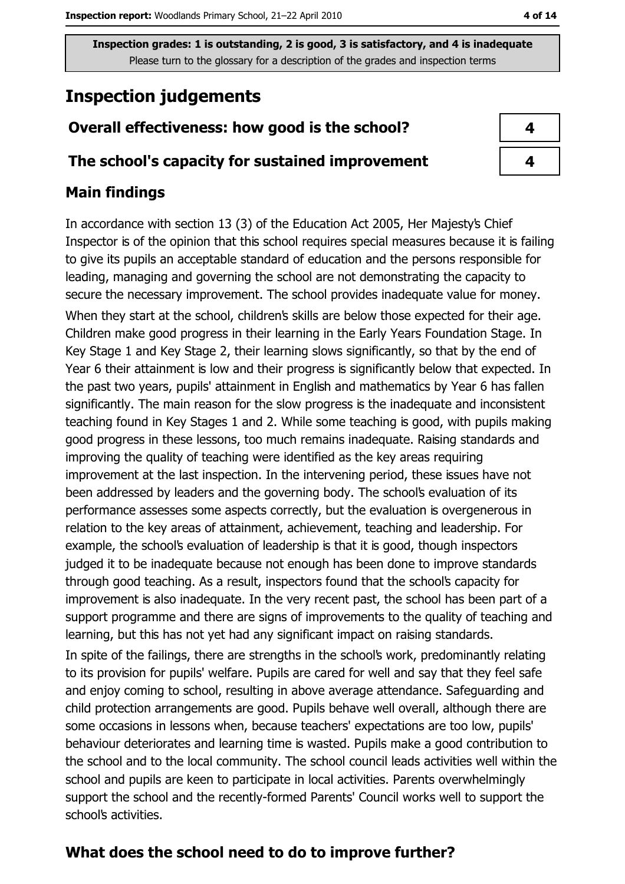# **Inspection judgements**

## Overall effectiveness: how good is the school?

### The school's capacity for sustained improvement

## **Main findings**

In accordance with section 13 (3) of the Education Act 2005, Her Majesty's Chief Inspector is of the opinion that this school requires special measures because it is failing to give its pupils an acceptable standard of education and the persons responsible for leading, managing and governing the school are not demonstrating the capacity to secure the necessary improvement. The school provides inadequate value for money. When they start at the school, children's skills are below those expected for their age. Children make good progress in their learning in the Early Years Foundation Stage. In Key Stage 1 and Key Stage 2, their learning slows significantly, so that by the end of Year 6 their attainment is low and their progress is significantly below that expected. In the past two years, pupils' attainment in English and mathematics by Year 6 has fallen significantly. The main reason for the slow progress is the inadequate and inconsistent teaching found in Key Stages 1 and 2. While some teaching is good, with pupils making good progress in these lessons, too much remains inadequate. Raising standards and improving the quality of teaching were identified as the key areas requiring improvement at the last inspection. In the intervening period, these issues have not been addressed by leaders and the governing body. The school's evaluation of its performance assesses some aspects correctly, but the evaluation is overgenerous in relation to the key areas of attainment, achievement, teaching and leadership. For example, the school's evaluation of leadership is that it is good, though inspectors judged it to be inadequate because not enough has been done to improve standards through good teaching. As a result, inspectors found that the school's capacity for improvement is also inadequate. In the very recent past, the school has been part of a support programme and there are signs of improvements to the quality of teaching and learning, but this has not yet had any significant impact on raising standards.

In spite of the failings, there are strengths in the school's work, predominantly relating to its provision for pupils' welfare. Pupils are cared for well and say that they feel safe and enjoy coming to school, resulting in above average attendance. Safeguarding and child protection arrangements are good. Pupils behave well overall, although there are some occasions in lessons when, because teachers' expectations are too low, pupils' behaviour deteriorates and learning time is wasted. Pupils make a good contribution to the school and to the local community. The school council leads activities well within the school and pupils are keen to participate in local activities. Parents overwhelmingly support the school and the recently-formed Parents' Council works well to support the school's activities.

# What does the school need to do to improve further?

| 4 |  |
|---|--|
| 4 |  |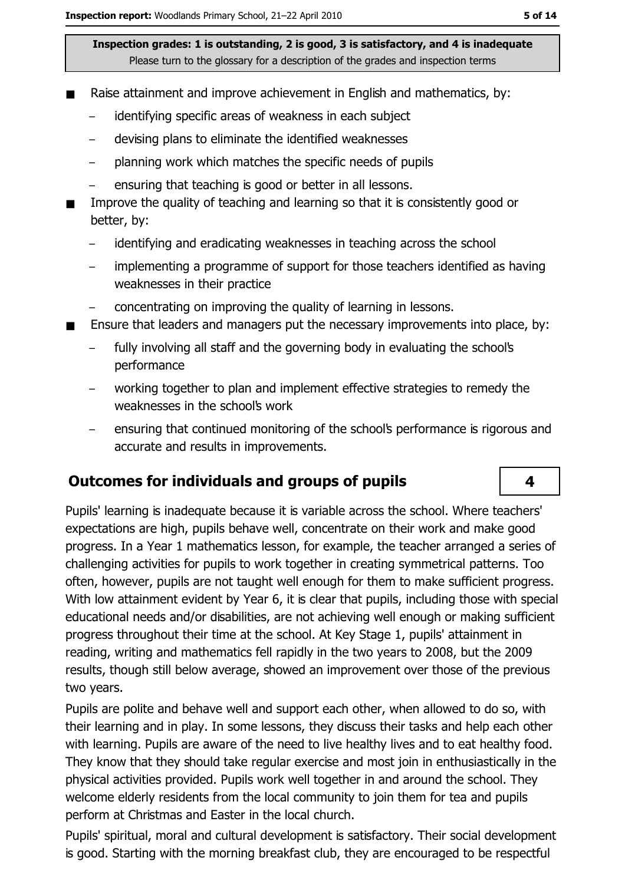- Raise attainment and improve achievement in English and mathematics, by:
	- identifying specific areas of weakness in each subject
	- devising plans to eliminate the identified weaknesses  $\equiv$
	- planning work which matches the specific needs of pupils  $\equiv$
	- ensuring that teaching is good or better in all lessons.
- Improve the quality of teaching and learning so that it is consistently good or better, by:
	- identifying and eradicating weaknesses in teaching across the school
	- implementing a programme of support for those teachers identified as having weaknesses in their practice
	- concentrating on improving the quality of learning in lessons.
- Ensure that leaders and managers put the necessary improvements into place, by:  $\blacksquare$ 
	- fully involving all staff and the governing body in evaluating the school's performance
	- working together to plan and implement effective strategies to remedy the weaknesses in the school's work
	- ensuring that continued monitoring of the school's performance is rigorous and accurate and results in improvements.

### **Outcomes for individuals and groups of pupils**

Pupils' learning is inadequate because it is variable across the school. Where teachers' expectations are high, pupils behave well, concentrate on their work and make good progress. In a Year 1 mathematics lesson, for example, the teacher arranged a series of challenging activities for pupils to work together in creating symmetrical patterns. Too often, however, pupils are not taught well enough for them to make sufficient progress. With low attainment evident by Year 6, it is clear that pupils, including those with special educational needs and/or disabilities, are not achieving well enough or making sufficient progress throughout their time at the school. At Key Stage 1, pupils' attainment in reading, writing and mathematics fell rapidly in the two years to 2008, but the 2009 results, though still below average, showed an improvement over those of the previous two years.

Pupils are polite and behave well and support each other, when allowed to do so, with their learning and in play. In some lessons, they discuss their tasks and help each other with learning. Pupils are aware of the need to live healthy lives and to eat healthy food. They know that they should take regular exercise and most join in enthusiastically in the physical activities provided. Pupils work well together in and around the school. They welcome elderly residents from the local community to join them for tea and pupils perform at Christmas and Easter in the local church.

Pupils' spiritual, moral and cultural development is satisfactory. Their social development is good. Starting with the morning breakfast club, they are encouraged to be respectful

4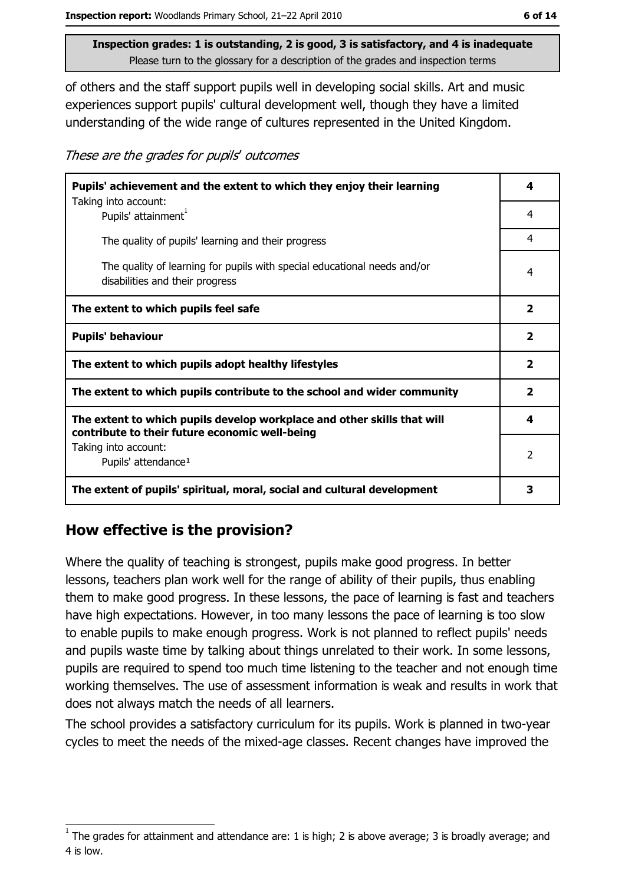of others and the staff support pupils well in developing social skills. Art and music experiences support pupils' cultural development well, though they have a limited understanding of the wide range of cultures represented in the United Kingdom.

These are the grades for pupils' outcomes

| Pupils' achievement and the extent to which they enjoy their learning                                                     |                         |
|---------------------------------------------------------------------------------------------------------------------------|-------------------------|
| Taking into account:<br>Pupils' attainment <sup>1</sup>                                                                   | 4                       |
| The quality of pupils' learning and their progress                                                                        | 4                       |
| The quality of learning for pupils with special educational needs and/or<br>disabilities and their progress               | 4                       |
| The extent to which pupils feel safe                                                                                      | $\overline{\mathbf{2}}$ |
| <b>Pupils' behaviour</b>                                                                                                  | $\overline{\mathbf{2}}$ |
| The extent to which pupils adopt healthy lifestyles                                                                       | $\overline{\mathbf{2}}$ |
| The extent to which pupils contribute to the school and wider community                                                   | $\mathbf{2}$            |
| The extent to which pupils develop workplace and other skills that will<br>contribute to their future economic well-being | 4                       |
| Taking into account:<br>Pupils' attendance <sup>1</sup>                                                                   | $\overline{2}$          |
| The extent of pupils' spiritual, moral, social and cultural development                                                   | 3                       |

# How effective is the provision?

Where the quality of teaching is strongest, pupils make good progress. In better lessons, teachers plan work well for the range of ability of their pupils, thus enabling them to make good progress. In these lessons, the pace of learning is fast and teachers have high expectations. However, in too many lessons the pace of learning is too slow to enable pupils to make enough progress. Work is not planned to reflect pupils' needs and pupils waste time by talking about things unrelated to their work. In some lessons, pupils are required to spend too much time listening to the teacher and not enough time working themselves. The use of assessment information is weak and results in work that does not always match the needs of all learners.

The school provides a satisfactory curriculum for its pupils. Work is planned in two-year cycles to meet the needs of the mixed-age classes. Recent changes have improved the

The grades for attainment and attendance are: 1 is high; 2 is above average; 3 is broadly average; and 4 is low.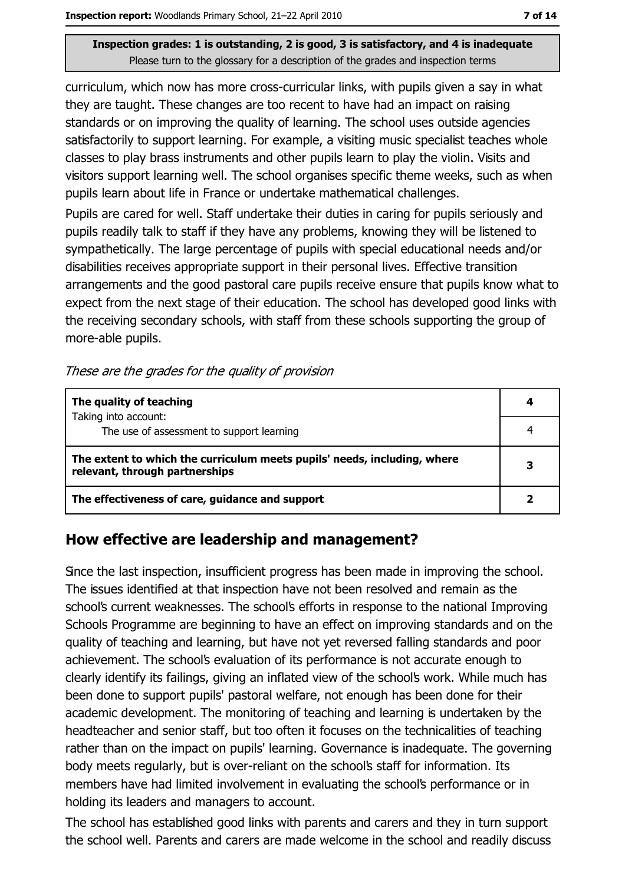curriculum, which now has more cross-curricular links, with pupils given a say in what they are taught. These changes are too recent to have had an impact on raising standards or on improving the quality of learning. The school uses outside agencies satisfactorily to support learning. For example, a visiting music specialist teaches whole classes to play brass instruments and other pupils learn to play the violin. Visits and visitors support learning well. The school organises specific theme weeks, such as when pupils learn about life in France or undertake mathematical challenges.

Pupils are cared for well. Staff undertake their duties in caring for pupils seriously and pupils readily talk to staff if they have any problems, knowing they will be listened to sympathetically. The large percentage of pupils with special educational needs and/or disabilities receives appropriate support in their personal lives. Effective transition arrangements and the good pastoral care pupils receive ensure that pupils know what to expect from the next stage of their education. The school has developed good links with the receiving secondary schools, with staff from these schools supporting the group of more-able pupils.

These are the grades for the quality of provision

| The quality of teaching                                                                                    |  |
|------------------------------------------------------------------------------------------------------------|--|
| Taking into account:                                                                                       |  |
| The use of assessment to support learning                                                                  |  |
| The extent to which the curriculum meets pupils' needs, including, where<br>relevant, through partnerships |  |
| The effectiveness of care, guidance and support                                                            |  |

# How effective are leadership and management?

Since the last inspection, insufficient progress has been made in improving the school. The issues identified at that inspection have not been resolved and remain as the school's current weaknesses. The school's efforts in response to the national Improving Schools Programme are beginning to have an effect on improving standards and on the quality of teaching and learning, but have not yet reversed falling standards and poor achievement. The school's evaluation of its performance is not accurate enough to clearly identify its failings, giving an inflated view of the school's work. While much has been done to support pupils' pastoral welfare, not enough has been done for their academic development. The monitoring of teaching and learning is undertaken by the headteacher and senior staff, but too often it focuses on the technicalities of teaching rather than on the impact on pupils' learning. Governance is inadequate. The governing body meets regularly, but is over-reliant on the school's staff for information. Its members have had limited involvement in evaluating the school's performance or in holding its leaders and managers to account.

The school has established good links with parents and carers and they in turn support the school well. Parents and carers are made welcome in the school and readily discuss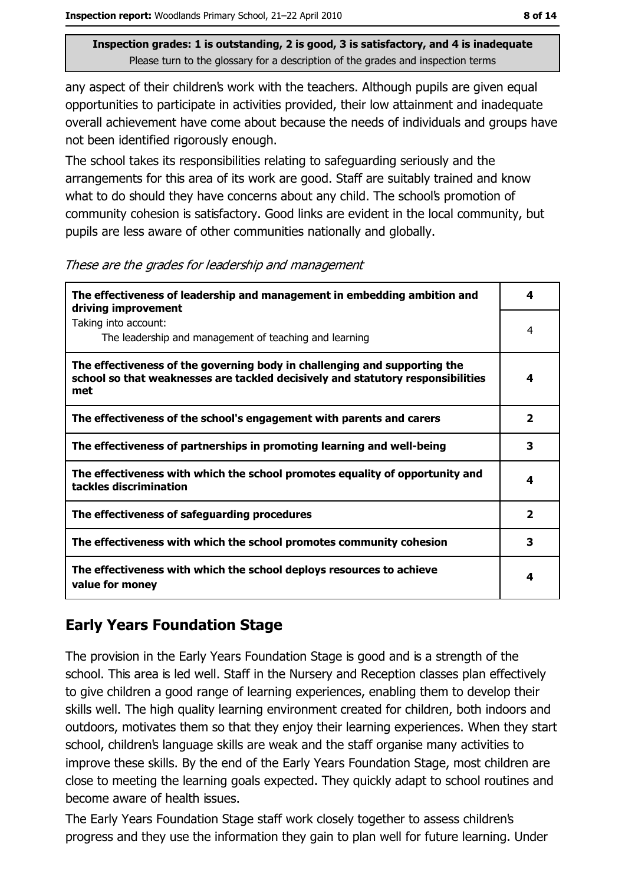any aspect of their children's work with the teachers. Although pupils are given equal opportunities to participate in activities provided, their low attainment and inadequate overall achievement have come about because the needs of individuals and groups have not been identified rigorously enough.

The school takes its responsibilities relating to safeguarding seriously and the arrangements for this area of its work are good. Staff are suitably trained and know what to do should they have concerns about any child. The school's promotion of community cohesion is satisfactory. Good links are evident in the local community, but pupils are less aware of other communities nationally and globally.

These are the grades for leadership and management

| The effectiveness of leadership and management in embedding ambition and<br>driving improvement                                                                     | 4                       |
|---------------------------------------------------------------------------------------------------------------------------------------------------------------------|-------------------------|
| Taking into account:<br>The leadership and management of teaching and learning                                                                                      | 4                       |
| The effectiveness of the governing body in challenging and supporting the<br>school so that weaknesses are tackled decisively and statutory responsibilities<br>met | 4                       |
| The effectiveness of the school's engagement with parents and carers                                                                                                | $\overline{2}$          |
| The effectiveness of partnerships in promoting learning and well-being                                                                                              | 3                       |
| The effectiveness with which the school promotes equality of opportunity and<br>tackles discrimination                                                              | 4                       |
| The effectiveness of safeguarding procedures                                                                                                                        | $\overline{\mathbf{2}}$ |
| The effectiveness with which the school promotes community cohesion                                                                                                 | 3                       |
| The effectiveness with which the school deploys resources to achieve<br>value for money                                                                             | 4                       |

# **Early Years Foundation Stage**

The provision in the Early Years Foundation Stage is good and is a strength of the school. This area is led well. Staff in the Nursery and Reception classes plan effectively to give children a good range of learning experiences, enabling them to develop their skills well. The high quality learning environment created for children, both indoors and outdoors, motivates them so that they enjoy their learning experiences. When they start school, children's language skills are weak and the staff organise many activities to improve these skills. By the end of the Early Years Foundation Stage, most children are close to meeting the learning goals expected. They guickly adapt to school routines and become aware of health issues.

The Early Years Foundation Stage staff work closely together to assess children's progress and they use the information they gain to plan well for future learning. Under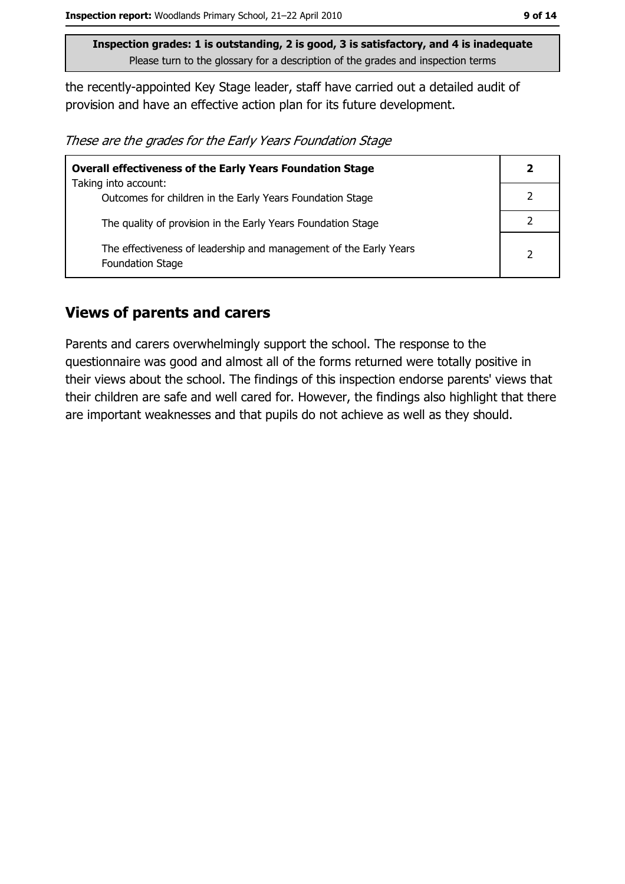the recently-appointed Key Stage leader, staff have carried out a detailed audit of provision and have an effective action plan for its future development.

These are the grades for the Early Years Foundation Stage

| <b>Overall effectiveness of the Early Years Foundation Stage</b>                             |                |
|----------------------------------------------------------------------------------------------|----------------|
| Taking into account:                                                                         |                |
| Outcomes for children in the Early Years Foundation Stage                                    |                |
| The quality of provision in the Early Years Foundation Stage                                 |                |
| The effectiveness of leadership and management of the Early Years<br><b>Foundation Stage</b> | $\overline{2}$ |

### **Views of parents and carers**

Parents and carers overwhelmingly support the school. The response to the questionnaire was good and almost all of the forms returned were totally positive in their views about the school. The findings of this inspection endorse parents' views that their children are safe and well cared for. However, the findings also highlight that there are important weaknesses and that pupils do not achieve as well as they should.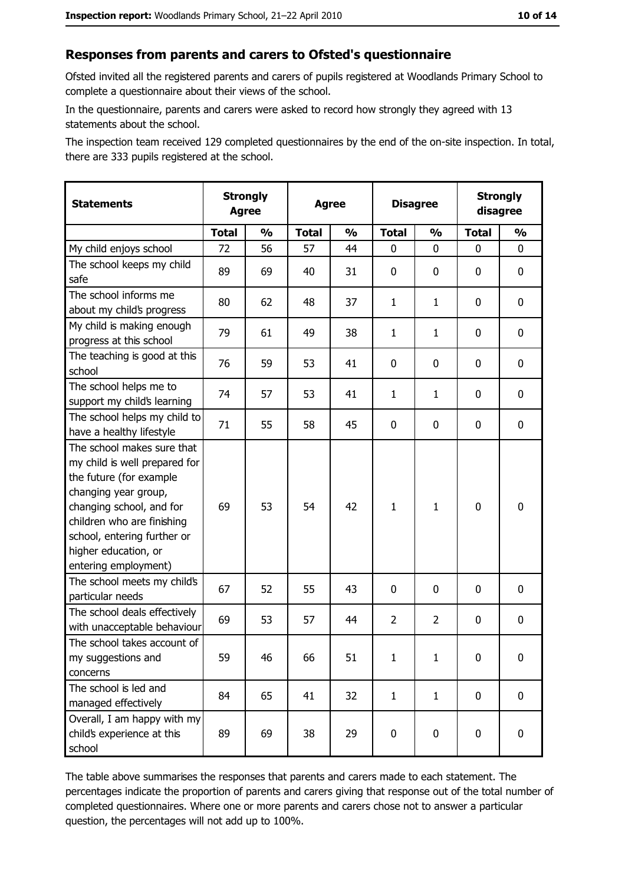#### Responses from parents and carers to Ofsted's questionnaire

Ofsted invited all the registered parents and carers of pupils registered at Woodlands Primary School to complete a questionnaire about their views of the school.

In the questionnaire, parents and carers were asked to record how strongly they agreed with 13 statements about the school.

The inspection team received 129 completed questionnaires by the end of the on-site inspection. In total, there are 333 pupils registered at the school.

| <b>Statements</b>                                                                                                                                                                                                                                       | <b>Strongly</b><br><b>Agree</b> |               | <b>Agree</b> |               | <b>Disagree</b> |                | <b>Strongly</b><br>disagree |               |
|---------------------------------------------------------------------------------------------------------------------------------------------------------------------------------------------------------------------------------------------------------|---------------------------------|---------------|--------------|---------------|-----------------|----------------|-----------------------------|---------------|
|                                                                                                                                                                                                                                                         | <b>Total</b>                    | $\frac{0}{0}$ | <b>Total</b> | $\frac{0}{0}$ | <b>Total</b>    | $\frac{1}{2}$  | <b>Total</b>                | $\frac{1}{2}$ |
| My child enjoys school                                                                                                                                                                                                                                  | 72                              | 56            | 57           | 44            | 0               | 0              | 0                           | 0             |
| The school keeps my child<br>safe                                                                                                                                                                                                                       | 89                              | 69            | 40           | 31            | $\mathbf 0$     | 0              | 0                           | $\mathbf 0$   |
| The school informs me<br>about my child's progress                                                                                                                                                                                                      | 80                              | 62            | 48           | 37            | $\mathbf{1}$    | $\mathbf{1}$   | 0                           | 0             |
| My child is making enough<br>progress at this school                                                                                                                                                                                                    | 79                              | 61            | 49           | 38            | $\mathbf{1}$    | $\mathbf{1}$   | 0                           | 0             |
| The teaching is good at this<br>school                                                                                                                                                                                                                  | 76                              | 59            | 53           | 41            | 0               | 0              | 0                           | 0             |
| The school helps me to<br>support my child's learning                                                                                                                                                                                                   | 74                              | 57            | 53           | 41            | $\mathbf{1}$    | $\mathbf{1}$   | 0                           | 0             |
| The school helps my child to<br>have a healthy lifestyle                                                                                                                                                                                                | 71                              | 55            | 58           | 45            | $\mathbf 0$     | 0              | 0                           | $\mathbf 0$   |
| The school makes sure that<br>my child is well prepared for<br>the future (for example<br>changing year group,<br>changing school, and for<br>children who are finishing<br>school, entering further or<br>higher education, or<br>entering employment) | 69                              | 53            | 54           | 42            | $\mathbf{1}$    | $\mathbf{1}$   | $\mathbf 0$                 | $\mathbf 0$   |
| The school meets my child's<br>particular needs                                                                                                                                                                                                         | 67                              | 52            | 55           | 43            | $\mathbf 0$     | 0              | 0                           | 0             |
| The school deals effectively<br>with unacceptable behaviour                                                                                                                                                                                             | 69                              | 53            | 57           | 44            | $\overline{2}$  | $\overline{2}$ | 0                           | 0             |
| The school takes account of<br>my suggestions and<br>concerns                                                                                                                                                                                           | 59                              | 46            | 66           | 51            | $\mathbf{1}$    | $\mathbf{1}$   | 0                           | $\bf{0}$      |
| The school is led and<br>managed effectively                                                                                                                                                                                                            | 84                              | 65            | 41           | 32            | $\mathbf{1}$    | $\mathbf{1}$   | $\mathbf 0$                 | $\mathbf 0$   |
| Overall, I am happy with my<br>child's experience at this<br>school                                                                                                                                                                                     | 89                              | 69            | 38           | 29            | $\pmb{0}$       | 0              | 0                           | $\mathbf 0$   |

The table above summarises the responses that parents and carers made to each statement. The percentages indicate the proportion of parents and carers giving that response out of the total number of completed questionnaires. Where one or more parents and carers chose not to answer a particular question, the percentages will not add up to 100%.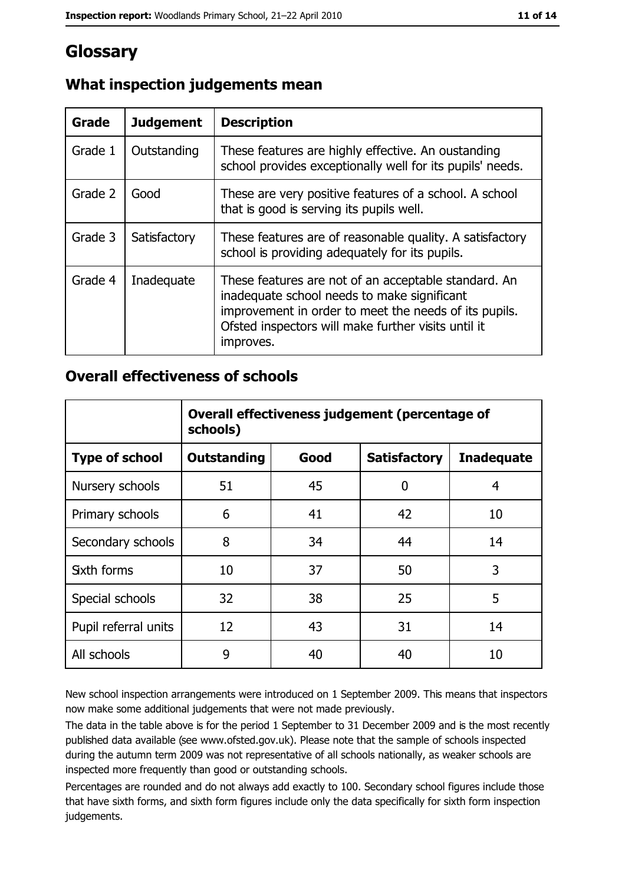# Glossary

| Grade   | <b>Judgement</b> | <b>Description</b>                                                                                                                                                                                                               |
|---------|------------------|----------------------------------------------------------------------------------------------------------------------------------------------------------------------------------------------------------------------------------|
| Grade 1 | Outstanding      | These features are highly effective. An oustanding<br>school provides exceptionally well for its pupils' needs.                                                                                                                  |
| Grade 2 | Good             | These are very positive features of a school. A school<br>that is good is serving its pupils well.                                                                                                                               |
| Grade 3 | Satisfactory     | These features are of reasonable quality. A satisfactory<br>school is providing adequately for its pupils.                                                                                                                       |
| Grade 4 | Inadequate       | These features are not of an acceptable standard. An<br>inadequate school needs to make significant<br>improvement in order to meet the needs of its pupils.<br>Ofsted inspectors will make further visits until it<br>improves. |

# What inspection judgements mean

### **Overall effectiveness of schools**

|                       | Overall effectiveness judgement (percentage of<br>schools) |      |                     |                   |
|-----------------------|------------------------------------------------------------|------|---------------------|-------------------|
| <b>Type of school</b> | <b>Outstanding</b>                                         | Good | <b>Satisfactory</b> | <b>Inadequate</b> |
| Nursery schools       | 51                                                         | 45   | 0                   | 4                 |
| Primary schools       | 6                                                          | 41   | 42                  | 10                |
| Secondary schools     | 8                                                          | 34   | 44                  | 14                |
| <b>Sixth forms</b>    | 10                                                         | 37   | 50                  | 3                 |
| Special schools       | 32                                                         | 38   | 25                  | 5                 |
| Pupil referral units  | 12                                                         | 43   | 31                  | 14                |
| All schools           | 9                                                          | 40   | 40                  | 10                |

New school inspection arrangements were introduced on 1 September 2009. This means that inspectors now make some additional judgements that were not made previously.

The data in the table above is for the period 1 September to 31 December 2009 and is the most recently published data available (see www.ofsted.gov.uk). Please note that the sample of schools inspected during the autumn term 2009 was not representative of all schools nationally, as weaker schools are inspected more frequently than good or outstanding schools.

Percentages are rounded and do not always add exactly to 100. Secondary school figures include those that have sixth forms, and sixth form figures include only the data specifically for sixth form inspection judgements.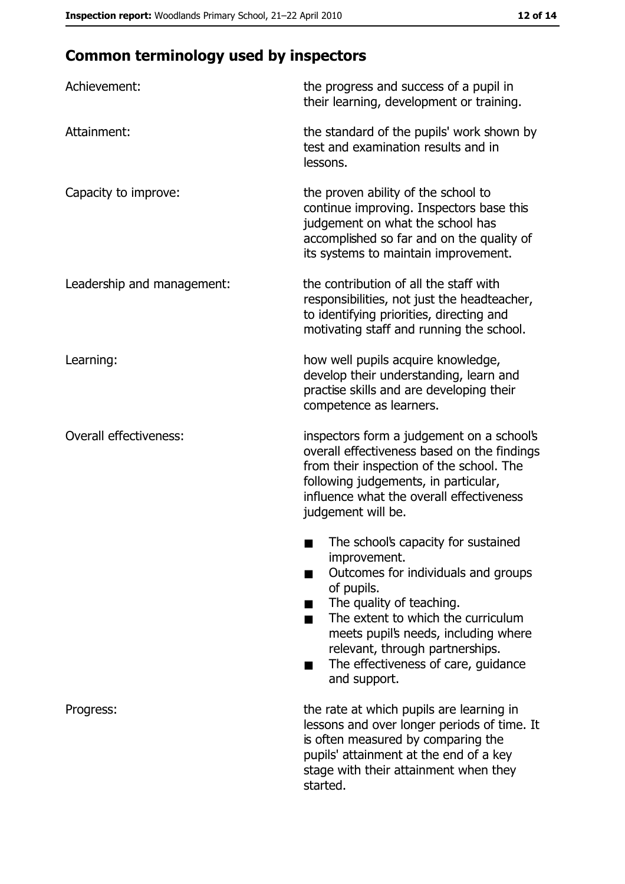# **Common terminology used by inspectors**

| Achievement:                  | the progress and success of a pupil in<br>their learning, development or training.                                                                                                                                                                                                                           |
|-------------------------------|--------------------------------------------------------------------------------------------------------------------------------------------------------------------------------------------------------------------------------------------------------------------------------------------------------------|
| Attainment:                   | the standard of the pupils' work shown by<br>test and examination results and in<br>lessons.                                                                                                                                                                                                                 |
| Capacity to improve:          | the proven ability of the school to<br>continue improving. Inspectors base this<br>judgement on what the school has<br>accomplished so far and on the quality of<br>its systems to maintain improvement.                                                                                                     |
| Leadership and management:    | the contribution of all the staff with<br>responsibilities, not just the headteacher,<br>to identifying priorities, directing and<br>motivating staff and running the school.                                                                                                                                |
| Learning:                     | how well pupils acquire knowledge,<br>develop their understanding, learn and<br>practise skills and are developing their<br>competence as learners.                                                                                                                                                          |
| <b>Overall effectiveness:</b> | inspectors form a judgement on a school's<br>overall effectiveness based on the findings<br>from their inspection of the school. The<br>following judgements, in particular,<br>influence what the overall effectiveness<br>judgement will be.                                                               |
|                               | The school's capacity for sustained<br>improvement.<br>Outcomes for individuals and groups<br>of pupils.<br>The quality of teaching.<br>The extent to which the curriculum<br>meets pupil's needs, including where<br>relevant, through partnerships.<br>The effectiveness of care, guidance<br>and support. |
| Progress:                     | the rate at which pupils are learning in<br>lessons and over longer periods of time. It<br>is often measured by comparing the<br>pupils' attainment at the end of a key<br>stage with their attainment when they<br>started.                                                                                 |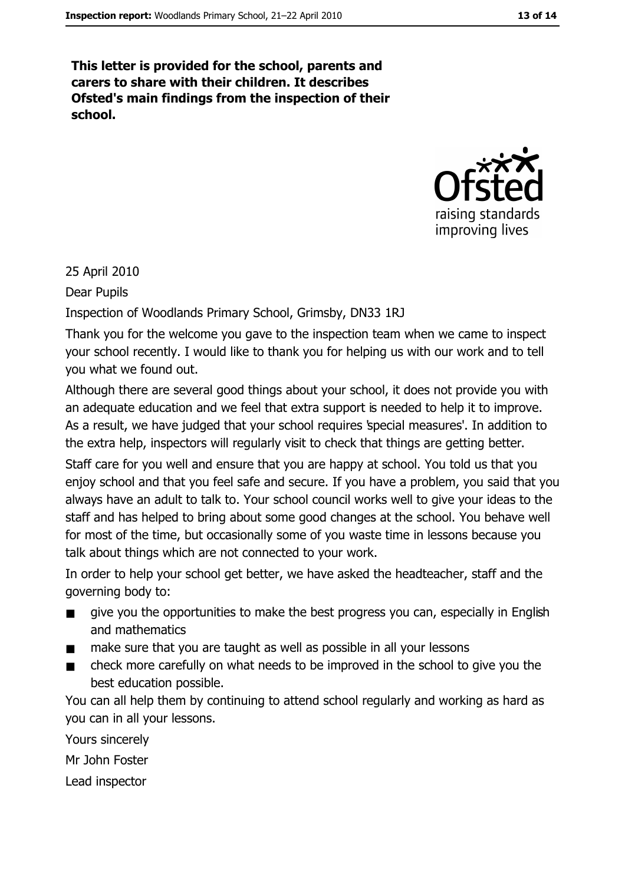This letter is provided for the school, parents and carers to share with their children. It describes Ofsted's main findings from the inspection of their school.



#### 25 April 2010

Dear Pupils

Inspection of Woodlands Primary School, Grimsby, DN33 1RJ

Thank you for the welcome you gave to the inspection team when we came to inspect your school recently. I would like to thank you for helping us with our work and to tell you what we found out.

Although there are several good things about your school, it does not provide you with an adequate education and we feel that extra support is needed to help it to improve. As a result, we have judged that your school requires special measures'. In addition to the extra help, inspectors will regularly visit to check that things are getting better.

Staff care for you well and ensure that you are happy at school. You told us that you enjoy school and that you feel safe and secure. If you have a problem, you said that you always have an adult to talk to. Your school council works well to give your ideas to the staff and has helped to bring about some good changes at the school. You behave well for most of the time, but occasionally some of you waste time in lessons because you talk about things which are not connected to your work.

In order to help your school get better, we have asked the headteacher, staff and the governing body to:

- give you the opportunities to make the best progress you can, especially in English  $\blacksquare$ and mathematics
- make sure that you are taught as well as possible in all your lessons
- check more carefully on what needs to be improved in the school to give you the best education possible.

You can all help them by continuing to attend school regularly and working as hard as vou can in all vour lessons.

Yours sincerely Mr John Foster

Lead inspector